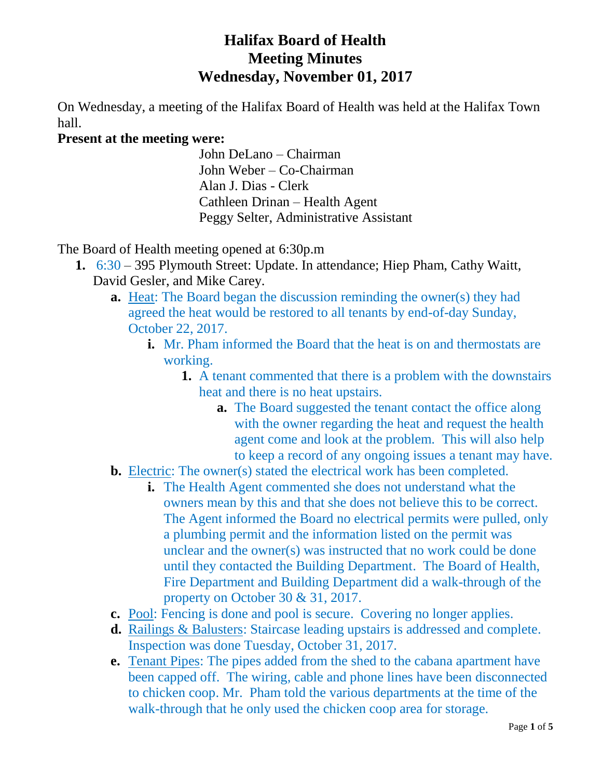# **Halifax Board of Health Meeting Minutes Wednesday, November 01, 2017**

On Wednesday, a meeting of the Halifax Board of Health was held at the Halifax Town hall.

# **Present at the meeting were:**

John DeLano – Chairman John Weber – Co-Chairman Alan J. Dias - Clerk Cathleen Drinan – Health Agent Peggy Selter, Administrative Assistant

The Board of Health meeting opened at 6:30p.m

- **1.** 6:30 395 Plymouth Street: Update. In attendance; Hiep Pham, Cathy Waitt, David Gesler, and Mike Carey.
	- **a.** Heat: The Board began the discussion reminding the owner(s) they had agreed the heat would be restored to all tenants by end-of-day Sunday, October 22, 2017.
		- **i.** Mr. Pham informed the Board that the heat is on and thermostats are working.
			- **1.** A tenant commented that there is a problem with the downstairs heat and there is no heat upstairs.
				- **a.** The Board suggested the tenant contact the office along with the owner regarding the heat and request the health agent come and look at the problem. This will also help to keep a record of any ongoing issues a tenant may have.
	- **b.** Electric: The owner(s) stated the electrical work has been completed.
		- **i.** The Health Agent commented she does not understand what the owners mean by this and that she does not believe this to be correct. The Agent informed the Board no electrical permits were pulled, only a plumbing permit and the information listed on the permit was unclear and the owner(s) was instructed that no work could be done until they contacted the Building Department. The Board of Health, Fire Department and Building Department did a walk-through of the property on October 30 & 31, 2017.
	- **c.** Pool: Fencing is done and pool is secure. Covering no longer applies.
	- **d.** Railings & Balusters: Staircase leading upstairs is addressed and complete. Inspection was done Tuesday, October 31, 2017.
	- **e.** Tenant Pipes: The pipes added from the shed to the cabana apartment have been capped off. The wiring, cable and phone lines have been disconnected to chicken coop. Mr. Pham told the various departments at the time of the walk-through that he only used the chicken coop area for storage.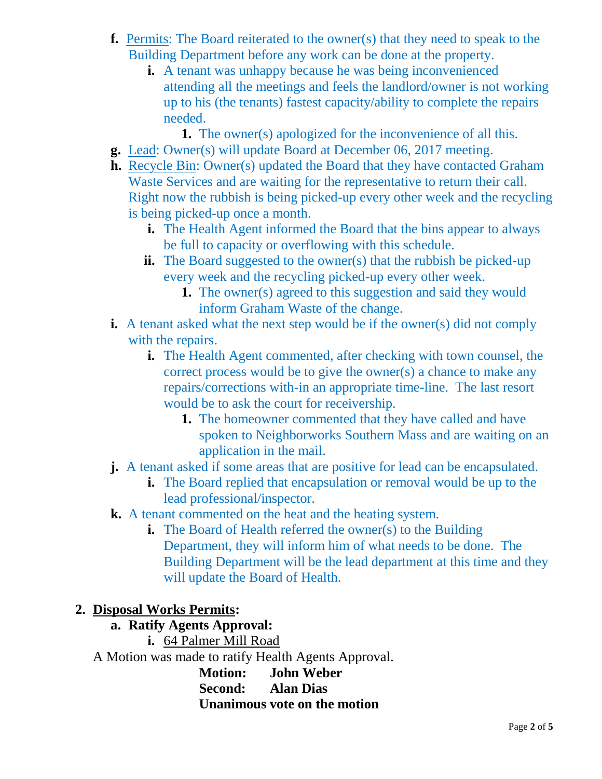- **f.** Permits: The Board reiterated to the owner(s) that they need to speak to the Building Department before any work can be done at the property.
	- **i.** A tenant was unhappy because he was being inconvenienced attending all the meetings and feels the landlord/owner is not working up to his (the tenants) fastest capacity/ability to complete the repairs needed.
		- **1.** The owner(s) apologized for the inconvenience of all this.
- **g.** Lead: Owner(s) will update Board at December 06, 2017 meeting.
- **h.** Recycle Bin: Owner(s) updated the Board that they have contacted Graham Waste Services and are waiting for the representative to return their call. Right now the rubbish is being picked-up every other week and the recycling is being picked-up once a month.
	- **i.** The Health Agent informed the Board that the bins appear to always be full to capacity or overflowing with this schedule.
	- **ii.** The Board suggested to the owner(s) that the rubbish be picked-up every week and the recycling picked-up every other week.
		- **1.** The owner(s) agreed to this suggestion and said they would inform Graham Waste of the change.
- **i.** A tenant asked what the next step would be if the owner(s) did not comply with the repairs.
	- **i.** The Health Agent commented, after checking with town counsel, the correct process would be to give the owner(s) a chance to make any repairs/corrections with-in an appropriate time-line. The last resort would be to ask the court for receivership.
		- **1.** The homeowner commented that they have called and have spoken to Neighborworks Southern Mass and are waiting on an application in the mail.
- **j.** A tenant asked if some areas that are positive for lead can be encapsulated.
	- **i.** The Board replied that encapsulation or removal would be up to the lead professional/inspector.
- **k.** A tenant commented on the heat and the heating system.
	- **i.** The Board of Health referred the owner(s) to the Building Department, they will inform him of what needs to be done. The Building Department will be the lead department at this time and they will update the Board of Health.

### **2. Disposal Works Permits:**

### **a. Ratify Agents Approval:**

**i.** 64 Palmer Mill Road

A Motion was made to ratify Health Agents Approval.

**Motion: John Weber Second: Alan Dias Unanimous vote on the motion**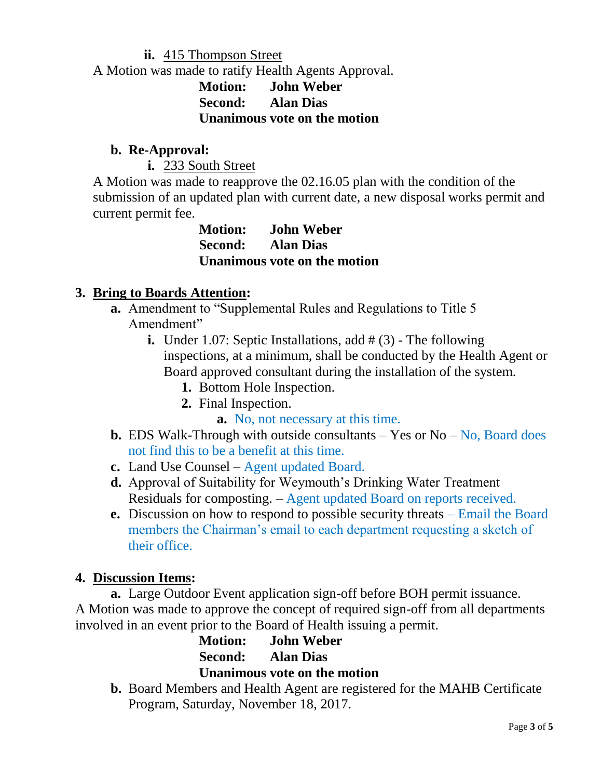#### **ii.** 415 Thompson Street

A Motion was made to ratify Health Agents Approval.

### **Motion: John Weber Second: Alan Dias Unanimous vote on the motion**

### **b. Re-Approval:**

**i.** 233 South Street

A Motion was made to reapprove the 02.16.05 plan with the condition of the submission of an updated plan with current date, a new disposal works permit and current permit fee.

> **Motion: John Weber Second: Alan Dias Unanimous vote on the motion**

### **3. Bring to Boards Attention:**

- **a.** Amendment to "Supplemental Rules and Regulations to Title 5 Amendment"
	- **i.** Under 1.07: Septic Installations, add # (3) The following inspections, at a minimum, shall be conducted by the Health Agent or Board approved consultant during the installation of the system.
		- **1.** Bottom Hole Inspection.
		- **2.** Final Inspection.
			- **a.** No, not necessary at this time.
- **b.** EDS Walk-Through with outside consultants  $-$  Yes or No  $-$  No, Board does not find this to be a benefit at this time.
- **c.** Land Use Counsel Agent updated Board.
- **d.** Approval of Suitability for Weymouth's Drinking Water Treatment Residuals for composting. – Agent updated Board on reports received.
- **e.** Discussion on how to respond to possible security threats Email the Board members the Chairman's email to each department requesting a sketch of their office.

### **4. Discussion Items:**

**a.** Large Outdoor Event application sign-off before BOH permit issuance. A Motion was made to approve the concept of required sign-off from all departments involved in an event prior to the Board of Health issuing a permit.

**Motion: John Weber Second: Alan Dias Unanimous vote on the motion**

**b.** Board Members and Health Agent are registered for the MAHB Certificate Program, Saturday, November 18, 2017.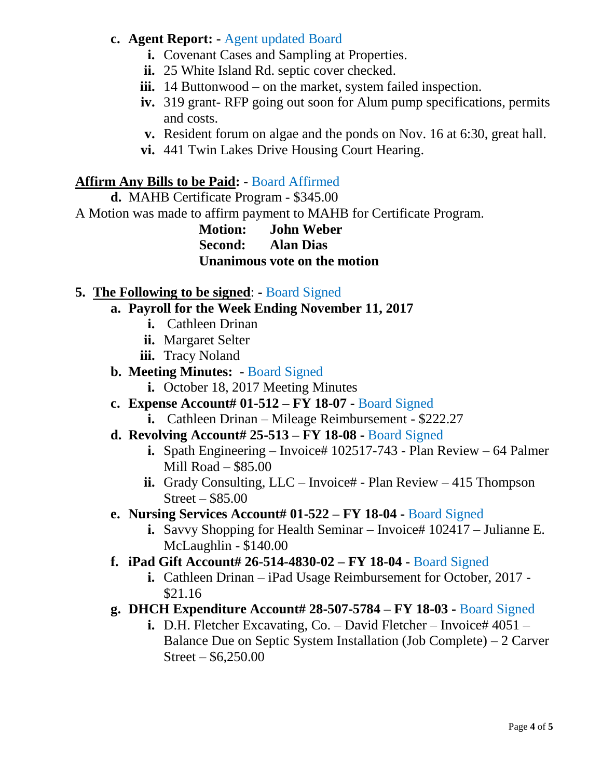### **c. Agent Report: -** Agent updated Board

- **i.** Covenant Cases and Sampling at Properties.
- **ii.** 25 White Island Rd. septic cover checked.
- **iii.** 14 Buttonwood on the market, system failed inspection.
- **iv.** 319 grant- RFP going out soon for Alum pump specifications, permits and costs.
- **v.** Resident forum on algae and the ponds on Nov. 16 at 6:30, great hall.
- **vi.** 441 Twin Lakes Drive Housing Court Hearing.

# **Affirm Any Bills to be Paid: -** Board Affirmed

**d.** MAHB Certificate Program - \$345.00

A Motion was made to affirm payment to MAHB for Certificate Program.

**Motion: John Weber Second: Alan Dias Unanimous vote on the motion**

# **5. The Following to be signed**: **-** Board Signed

- **a. Payroll for the Week Ending November 11, 2017**
	- **i.** Cathleen Drinan
	- **ii.** Margaret Selter
	- **iii.** Tracy Noland

### **b. Meeting Minutes: -** Board Signed

- **i.** October 18, 2017 Meeting Minutes
- **c. Expense Account# 01-512 – FY 18-07 -** Board Signed
	- **i.** Cathleen Drinan Mileage Reimbursement \$222.27

# **d. Revolving Account# 25-513 – FY 18-08 -** Board Signed

- **i.** Spath Engineering Invoice# 102517-743 Plan Review 64 Palmer Mill Road – \$85.00
- ii. Grady Consulting, LLC Invoice# Plan Review 415 Thompson Street – \$85.00
- **e. Nursing Services Account# 01-522 – FY 18-04 -** Board Signed
	- **i.** Savvy Shopping for Health Seminar Invoice# 102417 Julianne E. McLaughlin - \$140.00
- **f. iPad Gift Account# 26-514-4830-02 – FY 18-04 -** Board Signed
	- **i.** Cathleen Drinan iPad Usage Reimbursement for October, 2017 \$21.16
- **g. DHCH Expenditure Account# 28-507-5784 – FY 18-03 -** Board Signed
	- **i.** D.H. Fletcher Excavating, Co. David Fletcher Invoice# 4051 Balance Due on Septic System Installation (Job Complete) – 2 Carver Street – \$6,250.00